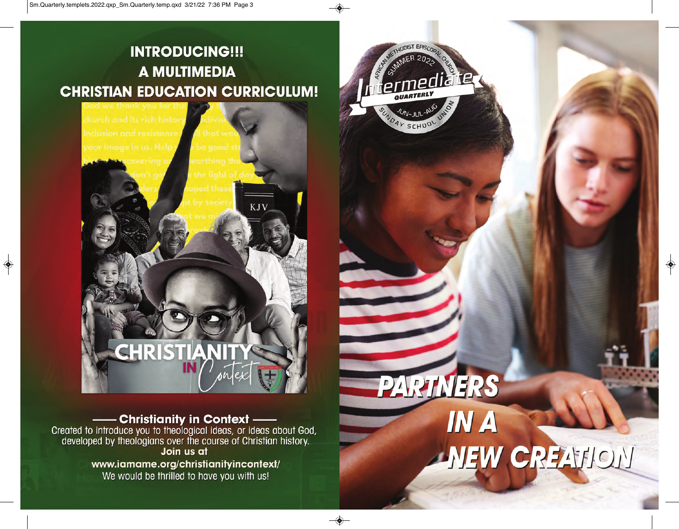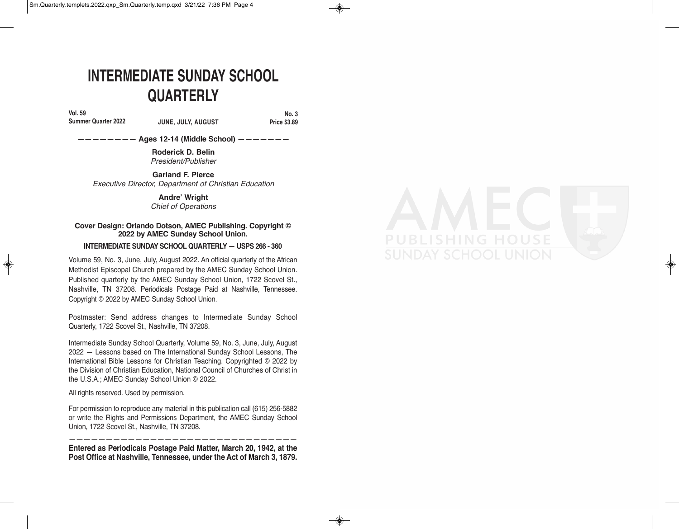# **INTERMEDIATE SUNDAY SCHOOL QUARTERLY**

**Vol. 59**

#### **Summer Quarter 2022 JUNE, JULY, AUGUST**

**No. 3 Price \$3.89** 

———————— **Ages 12-14 (Middle School)** ———————

**Roderick D. Belin** *President/Publisher*

**Garland F. Pierce** *Executive Director, Department of Christian Education*

> **Andre' Wright** *Chief of Operations*

#### **Cover Design: Orlando Dotson, AMEC Publishing. Copyright © 2022 by AMEC Sunday School Union.**

#### **INTERMEDIATE SUNDAY SCHOOL QUARTERLY — USPS 266 - 360**

Volume 59, No. 3, June, July, August 2022. An official quarterly of the African Methodist Episcopal Church prepared by the AMEC Sunday School Union. Published quarterly by the AMEC Sunday School Union, 1722 Scovel St., Nashville, TN 37208. Periodicals Postage Paid at Nashville, Tennessee. Copyright © 2022 by AMEC Sunday School Union.

Postmaster: Send address changes to Intermediate Sunday School Quarterly, 1722 Scovel St., Nashville, TN 37208.

Intermediate Sunday School Quarterly, Volume 59, No. 3, June, July, August 2022 — Lessons based on The International Sunday School Lessons, The International Bible Lessons for Christian Teaching. Copyrighted © 2022 by the Division of Christian Education, National Council of Churches of Christ in the U.S.A.; AMEC Sunday School Union © 2022.

All rights reserved. Used by permission.

For permission to reproduce any material in this publication call (615) 256-5882 or write the Rights and Permissions Department, the AMEC Sunday School Union, 1722 Scovel St., Nashville, TN 37208.

——————————————————————————————— **Entered as Periodicals Postage Paid Matter, March 20, 1942, at the Post Office at Nashville, Tennessee, under the Act of March 3, 1879.**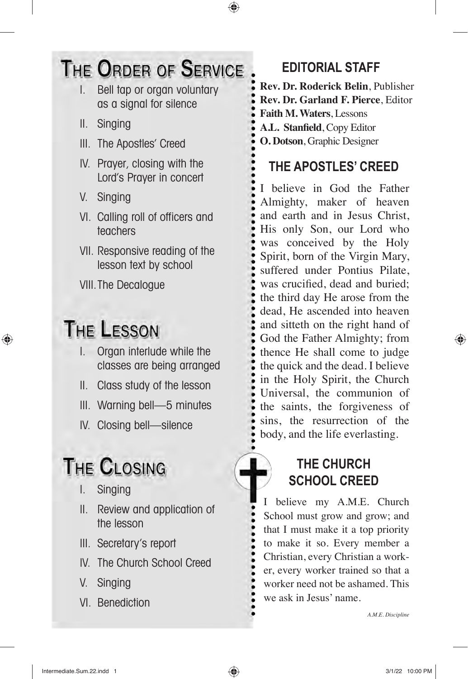# THE ORDER OF SERVICE

- I. Bell tap or organ voluntary as a signal for silence
- II. Singing
- III. The Apostles' Creed
- IV. Prayer, closing with the Lord's Prayer in concert
- V. Singing
- VI. Calling roll of officers and teachers
- VII. Responsive reading of the lesson text by school

VIII.The Decalogue

# **THE LESSON**

- I. Organ interlude while the classes are being arranged
- II. Class study of the lesson
- III. Warning bell—5 minutes
- IV. Closing bell—silence

# **THE CLOSING**

- I. Singing
- II. Review and application of the lesson
- III. Secretary's report
- IV. The Church School Creed
- V. Singing
- VI. Benediction

# **EDITORIAL STAFF**

**Rev. Dr. Roderick Belin**, Publisher **Rev. Dr. Garland F. Pierce**, Editor **Faith M. Waters**, Lessons **A.L. Stanfield**, Copy Editor **O. Dotson**, Graphic Designer

# **THE APOSTLES' CREED**

I believe in God the Father Almighty, maker of heaven and earth and in Jesus Christ, His only Son, our Lord who was conceived by the Holy Spirit, born of the Virgin Mary, suffered under Pontius Pilate, was crucified, dead and buried; the third day He arose from the dead, He ascended into heaven and sitteth on the right hand of God the Father Almighty; from thence He shall come to judge the quick and the dead. I believe in the Holy Spirit, the Church Universal, the communion of the saints, the forgiveness of sins, the resurrection of the body, and the life everlasting.

# **THE CHURCH SCHOOL CREED**

believe my A.M.E. Church School must grow and grow; and that I must make it a top priority to make it so. Every member a Christian, every Christian a worker, every worker trained so that a worker need not be ashamed. This we ask in Jesus' name.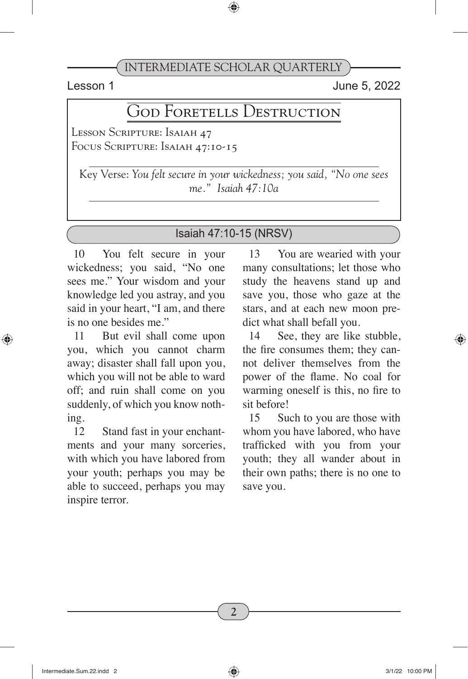Lesson 1 June 5, 2022

# GOD FORETELLS DESTRUCTION

Lesson Scripture: Isaiah 47 Focus Scripture: Isaiah 47:10-15

Key Verse: *You felt secure in your wickedness; you said, "No one sees me." Isaiah 47:10a*

#### Isaiah 47:10-15 (NRSV)

10 You felt secure in your wickedness; you said, "No one sees me." Your wisdom and your knowledge led you astray, and you said in your heart, "I am, and there is no one besides me."

11 But evil shall come upon you, which you cannot charm away; disaster shall fall upon you, which you will not be able to ward off; and ruin shall come on you suddenly, of which you know nothing.

12 Stand fast in your enchantments and your many sorceries, with which you have labored from your youth; perhaps you may be able to succeed, perhaps you may inspire terror.

13 You are wearied with your many consultations; let those who study the heavens stand up and save you, those who gaze at the stars, and at each new moon predict what shall befall you.

14 See, they are like stubble, the fire consumes them; they cannot deliver themselves from the power of the flame. No coal for warming oneself is this, no fire to sit before!

15 Such to you are those with whom you have labored, who have trafficked with you from your youth; they all wander about in their own paths; there is no one to save you.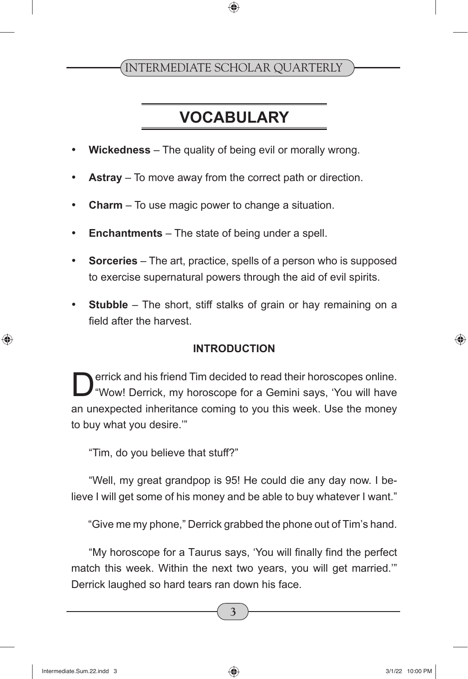# **VOCABULARY**

- **Wickedness** The quality of being evil or morally wrong.
- **Astray** To move away from the correct path or direction.
- **Charm** To use magic power to change a situation.
- **Enchantments** The state of being under a spell.
- **Sorceries** The art, practice, spells of a person who is supposed to exercise supernatural powers through the aid of evil spirits.
- **Stubble** The short, stiff stalks of grain or hay remaining on a field after the harvest.

#### **INTRODUCTION**

errick and his friend Tim decided to read their horoscopes online. "Wow! Derrick, my horoscope for a Gemini says, 'You will have an unexpected inheritance coming to you this week. Use the money to buy what you desire.'"

"Tim, do you believe that stuff?"

"Well, my great grandpop is 95! He could die any day now. I believe I will get some of his money and be able to buy whatever I want."

"Give me my phone," Derrick grabbed the phone out of Tim's hand.

"My horoscope for a Taurus says, 'You will finally find the perfect match this week. Within the next two years, you will get married.'" Derrick laughed so hard tears ran down his face.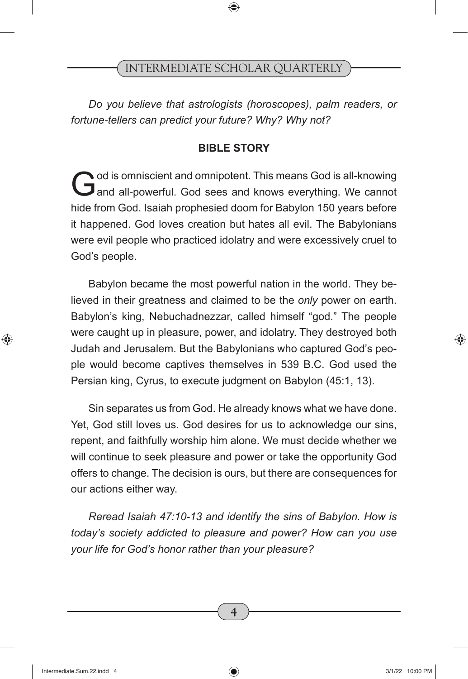*Do you believe that astrologists (horoscopes), palm readers, or fortune-tellers can predict your future? Why? Why not?*

#### **BIBLE STORY**

God is omniscient and omnipotent. This means God is all-knowing<br>
and all-powerful. God sees and knows everything. We cannot hide from God. Isaiah prophesied doom for Babylon 150 years before it happened. God loves creation but hates all evil. The Babylonians were evil people who practiced idolatry and were excessively cruel to God's people.

Babylon became the most powerful nation in the world. They believed in their greatness and claimed to be the *only* power on earth. Babylon's king, Nebuchadnezzar, called himself "god." The people were caught up in pleasure, power, and idolatry. They destroyed both Judah and Jerusalem. But the Babylonians who captured God's people would become captives themselves in 539 B.C. God used the Persian king, Cyrus, to execute judgment on Babylon (45:1, 13).

Sin separates us from God. He already knows what we have done. Yet, God still loves us. God desires for us to acknowledge our sins, repent, and faithfully worship him alone. We must decide whether we will continue to seek pleasure and power or take the opportunity God offers to change. The decision is ours, but there are consequences for our actions either way.

*Reread Isaiah 47:10-13 and identify the sins of Babylon. How is today's society addicted to pleasure and power? How can you use your life for God's honor rather than your pleasure?*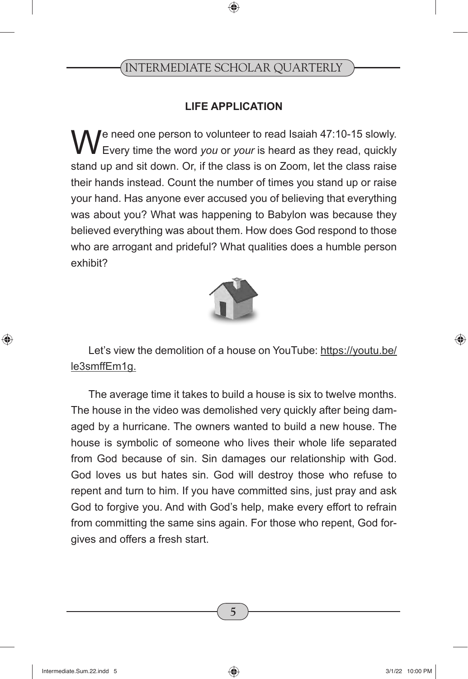#### **LIFE APPLICATION**

We need one person to volunteer to read Isaiah 47:10-15 slowly.<br>Every time the word *you* or *your* is heard as they read, quickly stand up and sit down. Or, if the class is on Zoom, let the class raise their hands instead. Count the number of times you stand up or raise your hand. Has anyone ever accused you of believing that everything was about you? What was happening to Babylon was because they believed everything was about them. How does God respond to those who are arrogant and prideful? What qualities does a humble person exhibit?



Let's view the demolition of a house on YouTube: https://youtu.be/ le3smffEm1g.

The average time it takes to build a house is six to twelve months. The house in the video was demolished very quickly after being damaged by a hurricane. The owners wanted to build a new house. The house is symbolic of someone who lives their whole life separated from God because of sin. Sin damages our relationship with God. God loves us but hates sin. God will destroy those who refuse to repent and turn to him. If you have committed sins, just pray and ask God to forgive you. And with God's help, make every effort to refrain from committing the same sins again. For those who repent, God forgives and offers a fresh start.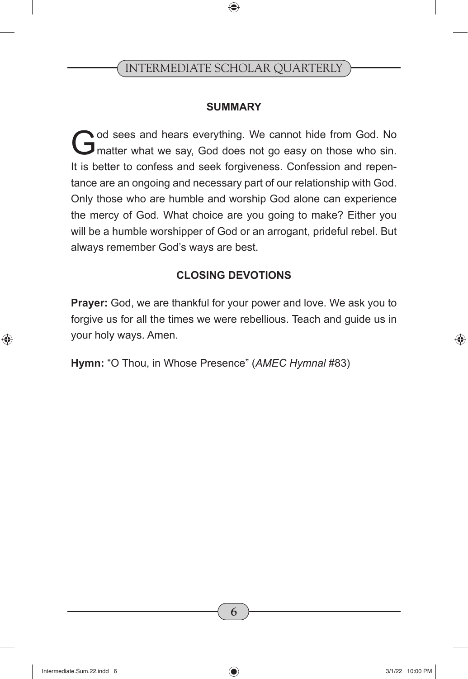#### **SUMMARY**

God sees and hears everything. We cannot hide from God. No<br>
G matter what we say, God does not go easy on those who sin. It is better to confess and seek forgiveness. Confession and repentance are an ongoing and necessary part of our relationship with God. Only those who are humble and worship God alone can experience the mercy of God. What choice are you going to make? Either you will be a humble worshipper of God or an arrogant, prideful rebel. But always remember God's ways are best.

#### **CLOSING DEVOTIONS**

**Prayer:** God, we are thankful for your power and love. We ask you to forgive us for all the times we were rebellious. Teach and guide us in your holy ways. Amen.

**Hymn:** "O Thou, in Whose Presence" (*AMEC Hymnal* #83)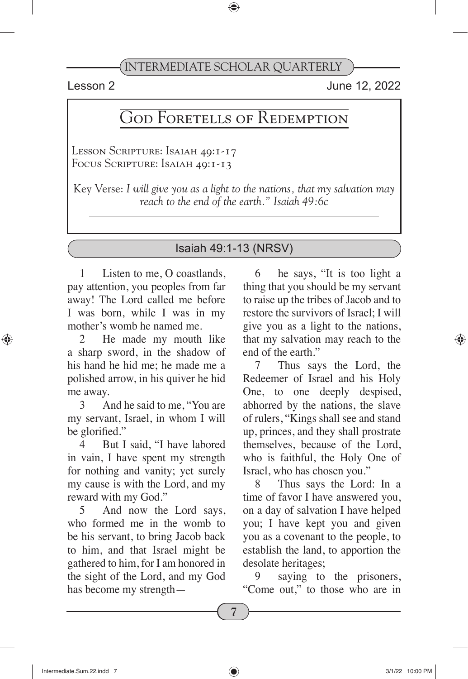Lesson 2 June 12, 2022

# God Foretells of Redemption

Lesson Scripture: Isaiah 49:1-17 Focus Scripture: Isaiah 49:1-13

Key Verse: *I will give you as a light to the nations, that my salvation may reach to the end of the earth." Isaiah 49:6c*

#### Isaiah 49:1-13 (NRSV)

1 Listen to me, O coastlands, pay attention, you peoples from far away! The Lord called me before I was born, while I was in my mother's womb he named me.

He made my mouth like a sharp sword, in the shadow of his hand he hid me; he made me a polished arrow, in his quiver he hid me away.

3 And he said to me, "You are my servant, Israel, in whom I will be glorified."

4 But I said, "I have labored in vain, I have spent my strength for nothing and vanity; yet surely my cause is with the Lord, and my reward with my God."

5 And now the Lord says, who formed me in the womb to be his servant, to bring Jacob back to him, and that Israel might be gathered to him, for I am honored in the sight of the Lord, and my God has become my strength—

6 he says, "It is too light a thing that you should be my servant to raise up the tribes of Jacob and to restore the survivors of Israel; I will give you as a light to the nations, that my salvation may reach to the end of the earth."

7 Thus says the Lord, the Redeemer of Israel and his Holy One, to one deeply despised, abhorred by the nations, the slave of rulers, "Kings shall see and stand up, princes, and they shall prostrate themselves, because of the Lord, who is faithful, the Holy One of Israel, who has chosen you."

8 Thus says the Lord: In a time of favor I have answered you, on a day of salvation I have helped you; I have kept you and given you as a covenant to the people, to establish the land, to apportion the desolate heritages;

9 saying to the prisoners, "Come out," to those who are in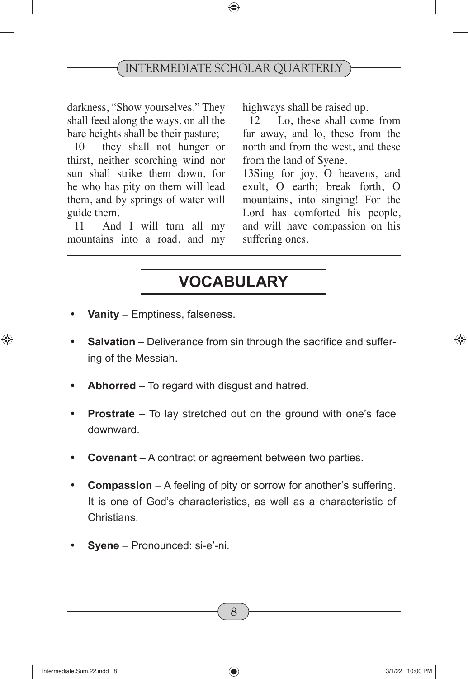darkness, "Show yourselves." They shall feed along the ways, on all the bare heights shall be their pasture;

10 they shall not hunger or thirst, neither scorching wind nor sun shall strike them down, for he who has pity on them will lead them, and by springs of water will guide them.

11 And I will turn all my mountains into a road, and my highways shall be raised up.

12 Lo, these shall come from far away, and lo, these from the north and from the west, and these from the land of Syene.

13Sing for joy, O heavens, and exult, O earth; break forth, O mountains, into singing! For the Lord has comforted his people, and will have compassion on his suffering ones.

# **VOCABULARY**

- **Vanity** Emptiness, falseness.
- **Salvation** Deliverance from sin through the sacrifice and suffering of the Messiah.
- **Abhorred** To regard with disgust and hatred.
- **Prostrate** To lay stretched out on the ground with one's face downward.
- **Covenant** A contract or agreement between two parties.
- **Compassion** A feeling of pity or sorrow for another's suffering. It is one of God's characteristics, as well as a characteristic of Christians.
- Syene Pronounced: si-e'-ni.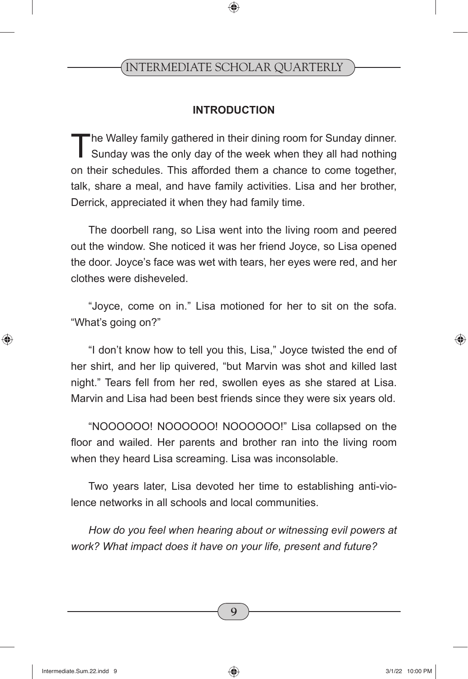#### **INTRODUCTION**

The Walley family gathered in their dining room for Sunday dinner.<br>Sunday was the only day of the week when they all had nothing on their schedules. This afforded them a chance to come together, talk, share a meal, and have family activities. Lisa and her brother, Derrick, appreciated it when they had family time.

The doorbell rang, so Lisa went into the living room and peered out the window. She noticed it was her friend Joyce, so Lisa opened the door. Joyce's face was wet with tears, her eyes were red, and her clothes were disheveled.

"Joyce, come on in." Lisa motioned for her to sit on the sofa. "What's going on?"

"I don't know how to tell you this, Lisa," Joyce twisted the end of her shirt, and her lip quivered, "but Marvin was shot and killed last night." Tears fell from her red, swollen eyes as she stared at Lisa. Marvin and Lisa had been best friends since they were six years old.

"NOOOOOO! NOOOOOO! NOOOOOO!" Lisa collapsed on the floor and wailed. Her parents and brother ran into the living room when they heard Lisa screaming. Lisa was inconsolable.

Two years later, Lisa devoted her time to establishing anti-violence networks in all schools and local communities.

*How do you feel when hearing about or witnessing evil powers at work? What impact does it have on your life, present and future?*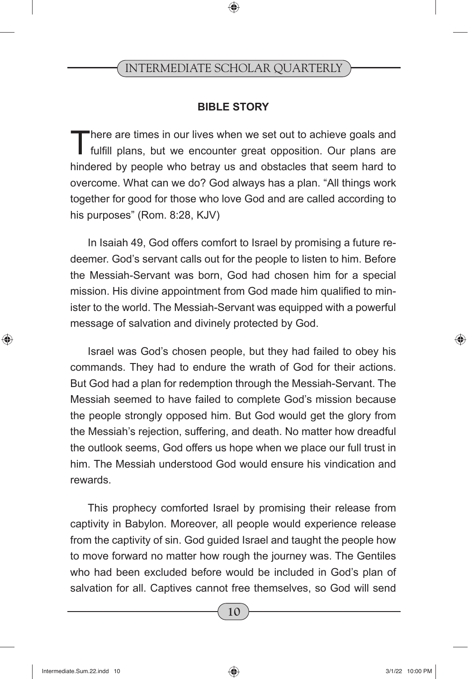#### **BIBLE STORY**

There are times in our lives when we set out to achieve goals and fulfill plans, but we encounter great opposition. Our plans are hindered by people who betray us and obstacles that seem hard to overcome. What can we do? God always has a plan. "All things work together for good for those who love God and are called according to his purposes" (Rom. 8:28, KJV)

In Isaiah 49, God offers comfort to Israel by promising a future redeemer. God's servant calls out for the people to listen to him. Before the Messiah-Servant was born, God had chosen him for a special mission. His divine appointment from God made him qualified to minister to the world. The Messiah-Servant was equipped with a powerful message of salvation and divinely protected by God.

Israel was God's chosen people, but they had failed to obey his commands. They had to endure the wrath of God for their actions. But God had a plan for redemption through the Messiah-Servant. The Messiah seemed to have failed to complete God's mission because the people strongly opposed him. But God would get the glory from the Messiah's rejection, suffering, and death. No matter how dreadful the outlook seems, God offers us hope when we place our full trust in him. The Messiah understood God would ensure his vindication and rewards.

This prophecy comforted Israel by promising their release from captivity in Babylon. Moreover, all people would experience release from the captivity of sin. God guided Israel and taught the people how to move forward no matter how rough the journey was. The Gentiles who had been excluded before would be included in God's plan of salvation for all. Captives cannot free themselves, so God will send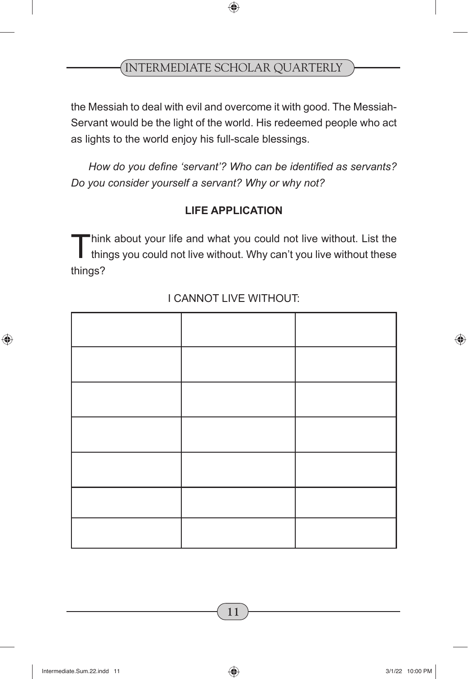the Messiah to deal with evil and overcome it with good. The Messiah-Servant would be the light of the world. His redeemed people who act as lights to the world enjoy his full-scale blessings.

*How do you define 'servant'? Who can be identified as servants? Do you consider yourself a servant? Why or why not?* 

#### **LIFE APPLICATION**

Think about your life and what you could not live without. List the things you could not live without. Why can't you live without these things?

#### I CANNOT LIVE WITHOUT: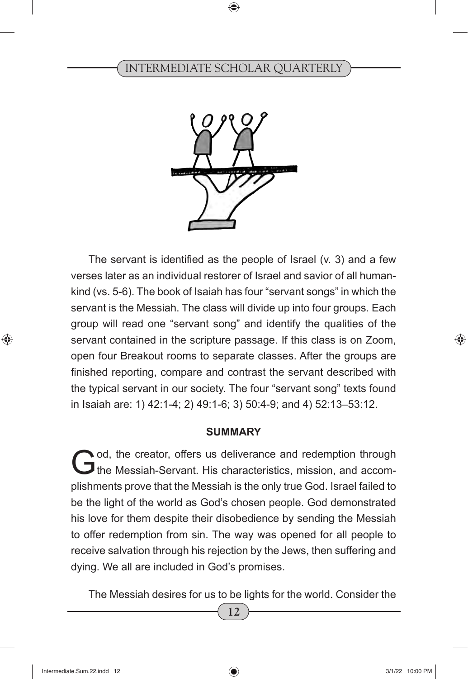

The servant is identified as the people of Israel (v. 3) and a few verses later as an individual restorer of Israel and savior of all humankind (vs. 5-6). The book of Isaiah has four "servant songs" in which the servant is the Messiah. The class will divide up into four groups. Each group will read one "servant song" and identify the qualities of the servant contained in the scripture passage. If this class is on Zoom, open four Breakout rooms to separate classes. After the groups are finished reporting, compare and contrast the servant described with the typical servant in our society. The four "servant song" texts found in Isaiah are: 1) 42:1-4; 2) 49:1-6; 3) 50:4-9; and 4) 52:13–53:12.

#### **SUMMARY**

God, the creator, offers us deliverance and redemption through the Messiah-Servant. His characteristics, mission, and accomplishments prove that the Messiah is the only true God. Israel failed to be the light of the world as God's chosen people. God demonstrated his love for them despite their disobedience by sending the Messiah to offer redemption from sin. The way was opened for all people to receive salvation through his rejection by the Jews, then suffering and dying. We all are included in God's promises.

The Messiah desires for us to be lights for the world. Consider the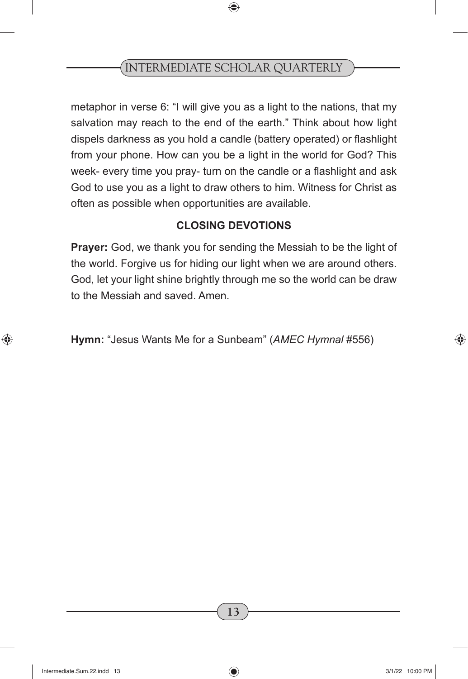metaphor in verse 6: "I will give you as a light to the nations, that my salvation may reach to the end of the earth." Think about how light dispels darkness as you hold a candle (battery operated) or flashlight from your phone. How can you be a light in the world for God? This week- every time you pray- turn on the candle or a flashlight and ask God to use you as a light to draw others to him. Witness for Christ as often as possible when opportunities are available.

#### **CLOSING DEVOTIONS**

**Prayer:** God, we thank you for sending the Messiah to be the light of the world. Forgive us for hiding our light when we are around others. God, let your light shine brightly through me so the world can be draw to the Messiah and saved. Amen.

**Hymn:** "Jesus Wants Me for a Sunbeam" (*AMEC Hymnal* #556)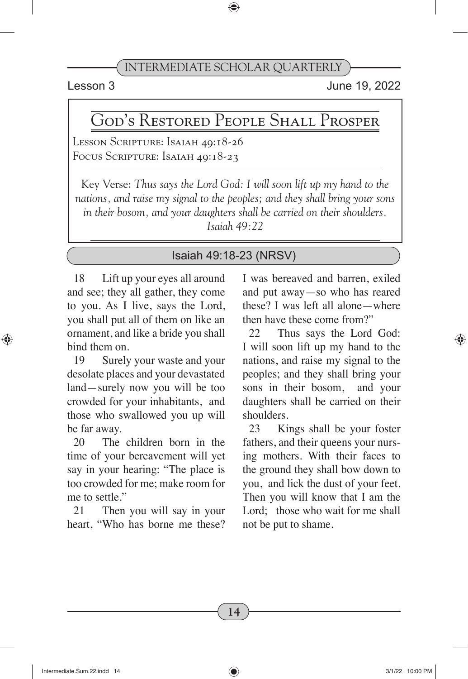Lesson 3 June 19, 2022

# God's Restored People Shall Prosper

Lesson Scripture: Isaiah 49:18-26 Focus Scripture: Isaiah 49:18-23

Key Verse: *Thus says the Lord God: I will soon lift up my hand to the nations, and raise my signal to the peoples; and they shall bring your sons in their bosom, and your daughters shall be carried on their shoulders. Isaiah 49:22*

#### Isaiah 49:18-23 (NRSV)

18 Lift up your eyes all around and see; they all gather, they come to you. As I live, says the Lord, you shall put all of them on like an ornament, and like a bride you shall bind them on.

19 Surely your waste and your desolate places and your devastated land—surely now you will be too crowded for your inhabitants, and those who swallowed you up will be far away.

20 The children born in the time of your bereavement will yet say in your hearing: "The place is too crowded for me; make room for me to settle."

21 Then you will say in your heart, "Who has borne me these? I was bereaved and barren, exiled and put away—so who has reared these? I was left all alone—where then have these come from?"

22 Thus says the Lord God: I will soon lift up my hand to the nations, and raise my signal to the peoples; and they shall bring your sons in their bosom, and your daughters shall be carried on their shoulders.

23 Kings shall be your foster fathers, and their queens your nursing mothers. With their faces to the ground they shall bow down to you, and lick the dust of your feet. Then you will know that I am the Lord: those who wait for me shall not be put to shame.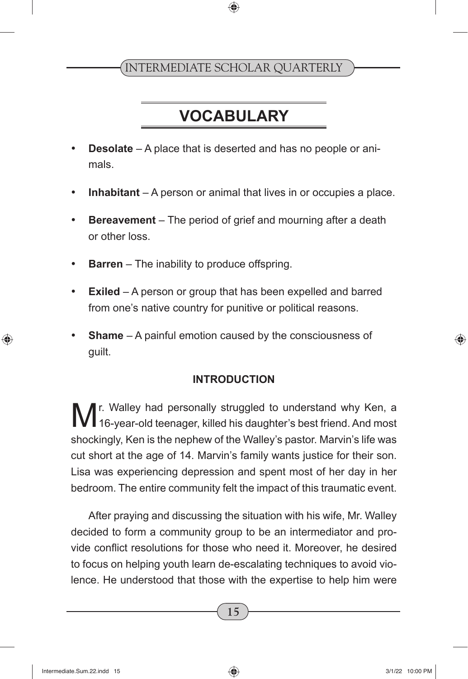# **VOCABULARY**

- **Desolate** A place that is deserted and has no people or animals.
- **Inhabitant** A person or animal that lives in or occupies a place.
- • **Bereavement** The period of grief and mourning after a death or other loss.
- **Barren** The inability to produce offspring.
- • **Exiled** A person or group that has been expelled and barred from one's native country for punitive or political reasons.
- **Shame** A painful emotion caused by the consciousness of guilt.

#### **INTRODUCTION**

M<sup>r. Walley had personally struggled to understand why Ken, a M<br>16-year-old teenager, killed his daughter's best friend. And most</sup> shockingly, Ken is the nephew of the Walley's pastor. Marvin's life was cut short at the age of 14. Marvin's family wants justice for their son. Lisa was experiencing depression and spent most of her day in her bedroom. The entire community felt the impact of this traumatic event.

After praying and discussing the situation with his wife, Mr. Walley decided to form a community group to be an intermediator and provide conflict resolutions for those who need it. Moreover, he desired to focus on helping youth learn de-escalating techniques to avoid violence. He understood that those with the expertise to help him were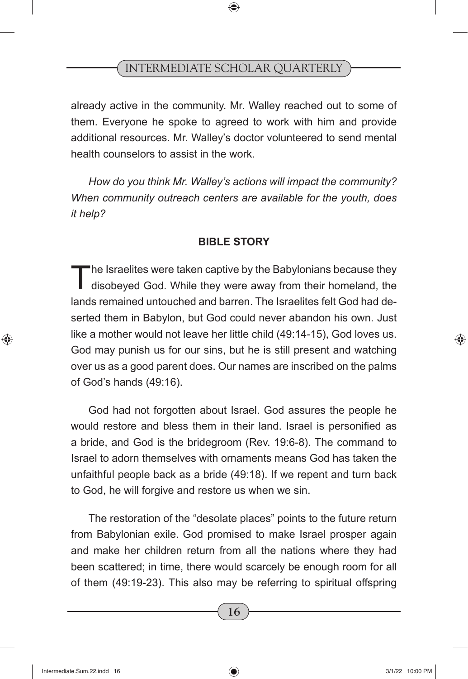already active in the community. Mr. Walley reached out to some of them. Everyone he spoke to agreed to work with him and provide additional resources. Mr. Walley's doctor volunteered to send mental health counselors to assist in the work.

*How do you think Mr. Walley's actions will impact the community? When community outreach centers are available for the youth, does it help?* 

#### **BIBLE STORY**

The Israelites were taken captive by the Babylonians because they disobeyed God. While they were away from their homeland, the lands remained untouched and barren. The Israelites felt God had deserted them in Babylon, but God could never abandon his own. Just like a mother would not leave her little child (49:14-15), God loves us. God may punish us for our sins, but he is still present and watching over us as a good parent does. Our names are inscribed on the palms of God's hands (49:16).

God had not forgotten about Israel. God assures the people he would restore and bless them in their land. Israel is personified as a bride, and God is the bridegroom (Rev. 19:6-8). The command to Israel to adorn themselves with ornaments means God has taken the unfaithful people back as a bride (49:18). If we repent and turn back to God, he will forgive and restore us when we sin.

The restoration of the "desolate places" points to the future return from Babylonian exile. God promised to make Israel prosper again and make her children return from all the nations where they had been scattered; in time, there would scarcely be enough room for all of them (49:19-23). This also may be referring to spiritual offspring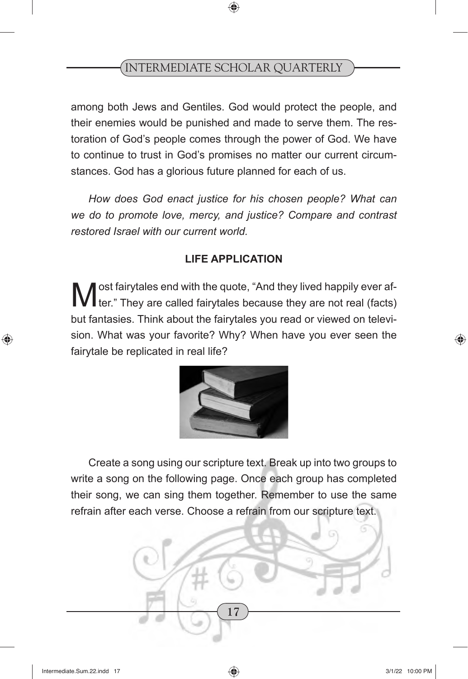among both Jews and Gentiles. God would protect the people, and their enemies would be punished and made to serve them. The restoration of God's people comes through the power of God. We have to continue to trust in God's promises no matter our current circumstances. God has a glorious future planned for each of us.

*How does God enact justice for his chosen people? What can we do to promote love, mercy, and justice? Compare and contrast restored Israel with our current world.*

#### **LIFE APPLICATION**

**M** ost fairytales end with the quote, "And they lived happily ever affection." They are called fairytales because they are not real (facts) but fantasies. Think about the fairytales you read or viewed on television. What was your favorite? Why? When have you ever seen the fairytale be replicated in real life?



Create a song using our scripture text. Break up into two groups to write a song on the following page. Once each group has completed their song, we can sing them together. Remember to use the same refrain after each verse. Choose a refrain from our scripture text.

**17**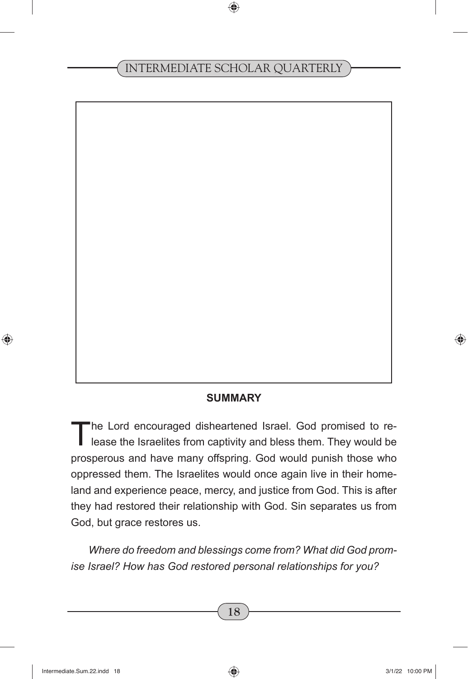#### **SUMMARY**

The Lord encouraged disheartened Israel. God promised to re-<br>lease the Israelites from captivity and bless them. They would be prosperous and have many offspring. God would punish those who oppressed them. The Israelites would once again live in their homeland and experience peace, mercy, and justice from God. This is after they had restored their relationship with God. Sin separates us from God, but grace restores us.

*Where do freedom and blessings come from? What did God promise Israel? How has God restored personal relationships for you?*